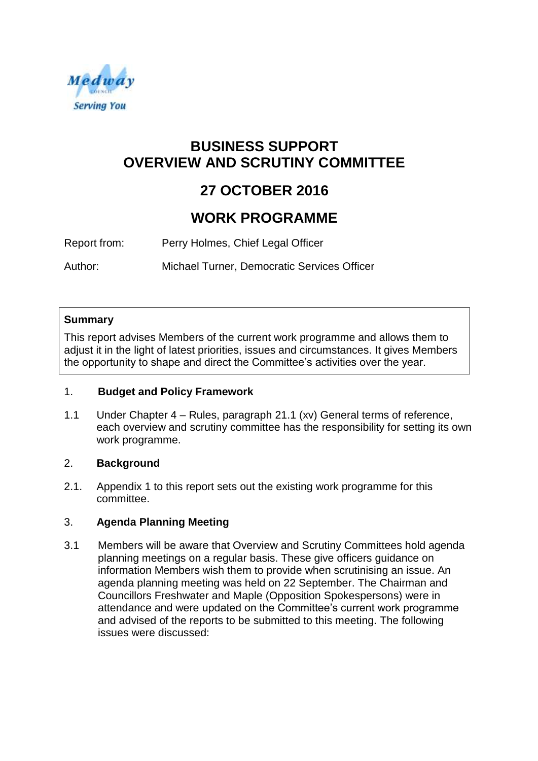

# **BUSINESS SUPPORT OVERVIEW AND SCRUTINY COMMITTEE**

# **27 OCTOBER 2016**

# **WORK PROGRAMME**

Report from: Perry Holmes, Chief Legal Officer

Author: Michael Turner, Democratic Services Officer

### **Summary**

This report advises Members of the current work programme and allows them to adjust it in the light of latest priorities, issues and circumstances. It gives Members the opportunity to shape and direct the Committee's activities over the year.

# 1. **Budget and Policy Framework**

1.1 Under Chapter 4 – Rules, paragraph 21.1 (xv) General terms of reference, each overview and scrutiny committee has the responsibility for setting its own work programme.

# 2. **Background**

2.1. Appendix 1 to this report sets out the existing work programme for this committee.

# 3. **Agenda Planning Meeting**

3.1 Members will be aware that Overview and Scrutiny Committees hold agenda planning meetings on a regular basis. These give officers guidance on information Members wish them to provide when scrutinising an issue. An agenda planning meeting was held on 22 September. The Chairman and Councillors Freshwater and Maple (Opposition Spokespersons) were in attendance and were updated on the Committee's current work programme and advised of the reports to be submitted to this meeting. The following issues were discussed: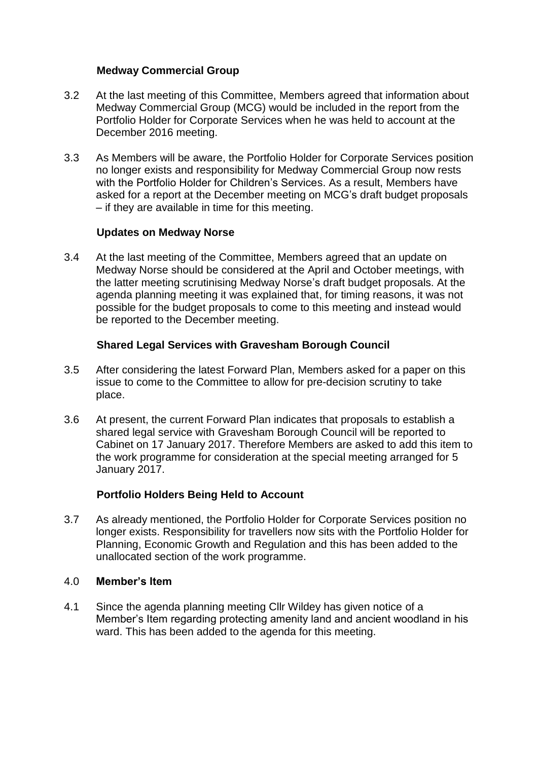#### **Medway Commercial Group**

- 3.2 At the last meeting of this Committee, Members agreed that information about Medway Commercial Group (MCG) would be included in the report from the Portfolio Holder for Corporate Services when he was held to account at the December 2016 meeting.
- 3.3 As Members will be aware, the Portfolio Holder for Corporate Services position no longer exists and responsibility for Medway Commercial Group now rests with the Portfolio Holder for Children's Services. As a result, Members have asked for a report at the December meeting on MCG's draft budget proposals – if they are available in time for this meeting.

### **Updates on Medway Norse**

3.4 At the last meeting of the Committee, Members agreed that an update on Medway Norse should be considered at the April and October meetings, with the latter meeting scrutinising Medway Norse's draft budget proposals. At the agenda planning meeting it was explained that, for timing reasons, it was not possible for the budget proposals to come to this meeting and instead would be reported to the December meeting.

### **Shared Legal Services with Gravesham Borough Council**

- 3.5 After considering the latest Forward Plan, Members asked for a paper on this issue to come to the Committee to allow for pre-decision scrutiny to take place.
- 3.6 At present, the current Forward Plan indicates that proposals to establish a shared legal service with Gravesham Borough Council will be reported to Cabinet on 17 January 2017. Therefore Members are asked to add this item to the work programme for consideration at the special meeting arranged for 5 January 2017.

# **Portfolio Holders Being Held to Account**

3.7 As already mentioned, the Portfolio Holder for Corporate Services position no longer exists. Responsibility for travellers now sits with the Portfolio Holder for Planning, Economic Growth and Regulation and this has been added to the unallocated section of the work programme.

#### 4.0 **Member's Item**

4.1 Since the agenda planning meeting Cllr Wildey has given notice of a Member's Item regarding protecting amenity land and ancient woodland in his ward. This has been added to the agenda for this meeting.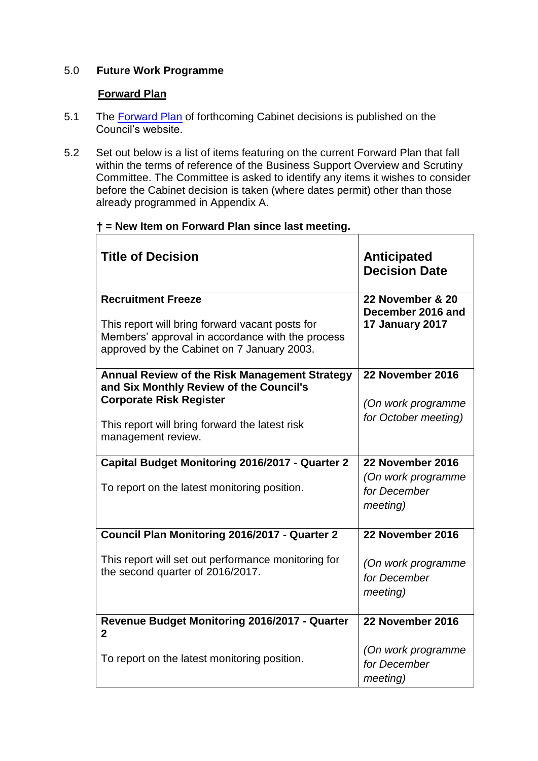# 5.0 **Future Work Programme**

### **Forward Plan**

- 5.1 The [Forward Plan](https://democracy.medway.gov.uk/mgListPlanItems.aspx?PlanId=258&RP=115) of forthcoming Cabinet decisions is published on the Council's website.
- 5.2 Set out below is a list of items featuring on the current Forward Plan that fall within the terms of reference of the Business Support Overview and Scrutiny Committee. The Committee is asked to identify any items it wishes to consider before the Cabinet decision is taken (where dates permit) other than those already programmed in Appendix A.

 $\overline{\phantom{0}}$ 

# **† = New Item on Forward Plan since last meeting.**

| <b>Title of Decision</b>                                                                                                                                                                           | <b>Anticipated</b><br><b>Decision Date</b>                                 |
|----------------------------------------------------------------------------------------------------------------------------------------------------------------------------------------------------|----------------------------------------------------------------------------|
| <b>Recruitment Freeze</b><br>This report will bring forward vacant posts for<br>Members' approval in accordance with the process<br>approved by the Cabinet on 7 January 2003.                     | 22 November & 20<br>December 2016 and<br>17 January 2017                   |
| Annual Review of the Risk Management Strategy<br>and Six Monthly Review of the Council's<br><b>Corporate Risk Register</b><br>This report will bring forward the latest risk<br>management review. | 22 November 2016<br>(On work programme<br>for October meeting)             |
| Capital Budget Monitoring 2016/2017 - Quarter 2<br>To report on the latest monitoring position.                                                                                                    | 22 November 2016<br>(On work programme<br>for December<br>meeting)         |
| Council Plan Monitoring 2016/2017 - Quarter 2<br>This report will set out performance monitoring for<br>the second quarter of 2016/2017.                                                           | 22 November 2016<br>(On work programme<br>for December<br><i>meeting</i> ) |
| Revenue Budget Monitoring 2016/2017 - Quarter<br>$\mathbf 2$<br>To report on the latest monitoring position.                                                                                       | 22 November 2016<br>(On work programme<br>for December<br>meeting)         |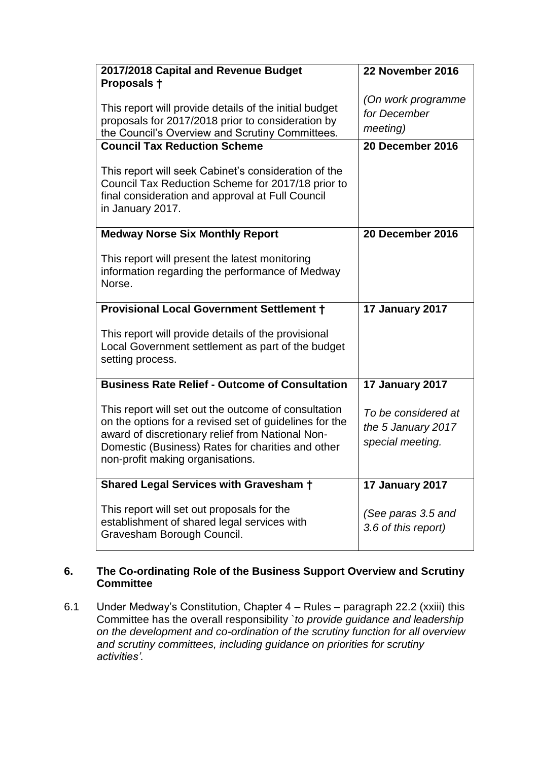| 2017/2018 Capital and Revenue Budget                                                                                                                                                                                                                        | 22 November 2016                                              |
|-------------------------------------------------------------------------------------------------------------------------------------------------------------------------------------------------------------------------------------------------------------|---------------------------------------------------------------|
| Proposals +                                                                                                                                                                                                                                                 |                                                               |
| This report will provide details of the initial budget<br>proposals for 2017/2018 prior to consideration by<br>the Council's Overview and Scrutiny Committees.                                                                                              | (On work programme<br>for December<br>meeting)                |
| <b>Council Tax Reduction Scheme</b>                                                                                                                                                                                                                         | 20 December 2016                                              |
| This report will seek Cabinet's consideration of the<br>Council Tax Reduction Scheme for 2017/18 prior to<br>final consideration and approval at Full Council<br>in January 2017.                                                                           |                                                               |
| <b>Medway Norse Six Monthly Report</b>                                                                                                                                                                                                                      | 20 December 2016                                              |
| This report will present the latest monitoring<br>information regarding the performance of Medway<br>Norse.                                                                                                                                                 |                                                               |
| <b>Provisional Local Government Settlement +</b>                                                                                                                                                                                                            | 17 January 2017                                               |
| This report will provide details of the provisional<br>Local Government settlement as part of the budget<br>setting process.                                                                                                                                |                                                               |
| <b>Business Rate Relief - Outcome of Consultation</b>                                                                                                                                                                                                       | 17 January 2017                                               |
| This report will set out the outcome of consultation<br>on the options for a revised set of guidelines for the<br>award of discretionary relief from National Non-<br>Domestic (Business) Rates for charities and other<br>non-profit making organisations. | To be considered at<br>the 5 January 2017<br>special meeting. |
| Shared Legal Services with Gravesham +                                                                                                                                                                                                                      | 17 January 2017                                               |
| This report will set out proposals for the<br>establishment of shared legal services with<br>Gravesham Borough Council.                                                                                                                                     | (See paras 3.5 and<br>3.6 of this report)                     |

# **6. The Co-ordinating Role of the Business Support Overview and Scrutiny Committee**

6.1 Under Medway's Constitution, Chapter 4 – Rules – paragraph 22.2 (xxiii) this Committee has the overall responsibility `*to provide guidance and leadership on the development and co-ordination of the scrutiny function for all overview and scrutiny committees, including guidance on priorities for scrutiny activities'.*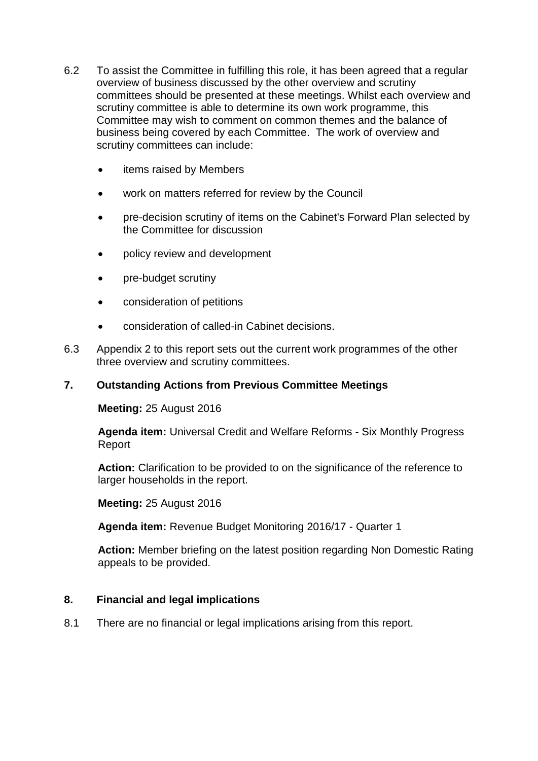- 6.2 To assist the Committee in fulfilling this role, it has been agreed that a regular overview of business discussed by the other overview and scrutiny committees should be presented at these meetings. Whilst each overview and scrutiny committee is able to determine its own work programme, this Committee may wish to comment on common themes and the balance of business being covered by each Committee. The work of overview and scrutiny committees can include:
	- items raised by Members
	- work on matters referred for review by the Council
	- pre-decision scrutiny of items on the Cabinet's Forward Plan selected by the Committee for discussion
	- policy review and development
	- pre-budget scrutiny
	- consideration of petitions
	- consideration of called-in Cabinet decisions.
- 6.3 Appendix 2 to this report sets out the current work programmes of the other three overview and scrutiny committees.

#### **7. Outstanding Actions from Previous Committee Meetings**

**Meeting:** 25 August 2016

**Agenda item:** Universal Credit and Welfare Reforms - Six Monthly Progress Report

**Action:** Clarification to be provided to on the significance of the reference to larger households in the report.

**Meeting:** 25 August 2016

**Agenda item:** Revenue Budget Monitoring 2016/17 - Quarter 1

**Action:** Member briefing on the latest position regarding Non Domestic Rating appeals to be provided.

#### **8. Financial and legal implications**

8.1 There are no financial or legal implications arising from this report.